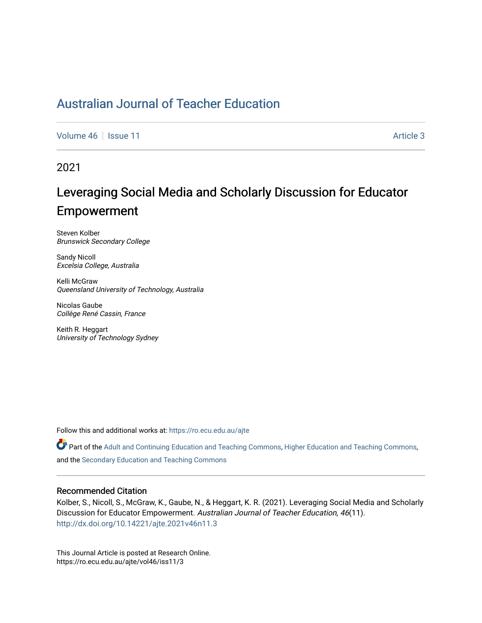# [Australian Journal of Teacher Education](https://ro.ecu.edu.au/ajte)

[Volume 46](https://ro.ecu.edu.au/ajte/vol46) | [Issue 11](https://ro.ecu.edu.au/ajte/vol46/iss11) Article 3

2021

# Leveraging Social Media and Scholarly Discussion for Educator Empowerment

Steven Kolber Brunswick Secondary College

Sandy Nicoll Excelsia College, Australia

Kelli McGraw Queensland University of Technology, Australia

Nicolas Gaube Collège René Cassin, France

Keith R. Heggart University of Technology Sydney

Follow this and additional works at: [https://ro.ecu.edu.au/ajte](https://ro.ecu.edu.au/ajte?utm_source=ro.ecu.edu.au%2Fajte%2Fvol46%2Fiss11%2F3&utm_medium=PDF&utm_campaign=PDFCoverPages) 

Part of the [Adult and Continuing Education and Teaching Commons](http://network.bepress.com/hgg/discipline/804?utm_source=ro.ecu.edu.au%2Fajte%2Fvol46%2Fiss11%2F3&utm_medium=PDF&utm_campaign=PDFCoverPages), [Higher Education and Teaching Commons,](http://network.bepress.com/hgg/discipline/806?utm_source=ro.ecu.edu.au%2Fajte%2Fvol46%2Fiss11%2F3&utm_medium=PDF&utm_campaign=PDFCoverPages) and the [Secondary Education and Teaching Commons](http://network.bepress.com/hgg/discipline/809?utm_source=ro.ecu.edu.au%2Fajte%2Fvol46%2Fiss11%2F3&utm_medium=PDF&utm_campaign=PDFCoverPages) 

#### Recommended Citation

Kolber, S., Nicoll, S., McGraw, K., Gaube, N., & Heggart, K. R. (2021). Leveraging Social Media and Scholarly Discussion for Educator Empowerment. Australian Journal of Teacher Education, 46(11). <http://dx.doi.org/10.14221/ajte.2021v46n11.3>

This Journal Article is posted at Research Online. https://ro.ecu.edu.au/ajte/vol46/iss11/3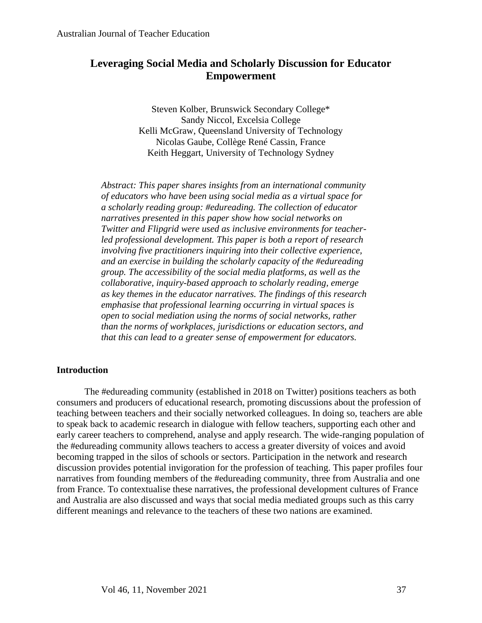# **Leveraging Social Media and Scholarly Discussion for Educator Empowerment**

Steven Kolber, Brunswick Secondary College\* Sandy Niccol, Excelsia College Kelli McGraw, Queensland University of Technology Nicolas Gaube, Collège René Cassin, France Keith Heggart, University of Technology Sydney

*Abstract: This paper shares insights from an international community of educators who have been using social media as a virtual space for a scholarly reading group: #edureading. The collection of educator narratives presented in this paper show how social networks on Twitter and Flipgrid were used as inclusive environments for teacherled professional development. This paper is both a report of research involving five practitioners inquiring into their collective experience, and an exercise in building the scholarly capacity of the #edureading group. The accessibility of the social media platforms, as well as the collaborative, inquiry-based approach to scholarly reading, emerge as key themes in the educator narratives. The findings of this research emphasise that professional learning occurring in virtual spaces is open to social mediation using the norms of social networks, rather than the norms of workplaces, jurisdictions or education sectors, and that this can lead to a greater sense of empowerment for educators.* 

# **Introduction**

The #edureading community (established in 2018 on Twitter) positions teachers as both consumers and producers of educational research, promoting discussions about the profession of teaching between teachers and their socially networked colleagues. In doing so, teachers are able to speak back to academic research in dialogue with fellow teachers, supporting each other and early career teachers to comprehend, analyse and apply research. The wide-ranging population of the #edureading community allows teachers to access a greater diversity of voices and avoid becoming trapped in the silos of schools or sectors. Participation in the network and research discussion provides potential invigoration for the profession of teaching. This paper profiles four narratives from founding members of the #edureading community, three from Australia and one from France. To contextualise these narratives, the professional development cultures of France and Australia are also discussed and ways that social media mediated groups such as this carry different meanings and relevance to the teachers of these two nations are examined.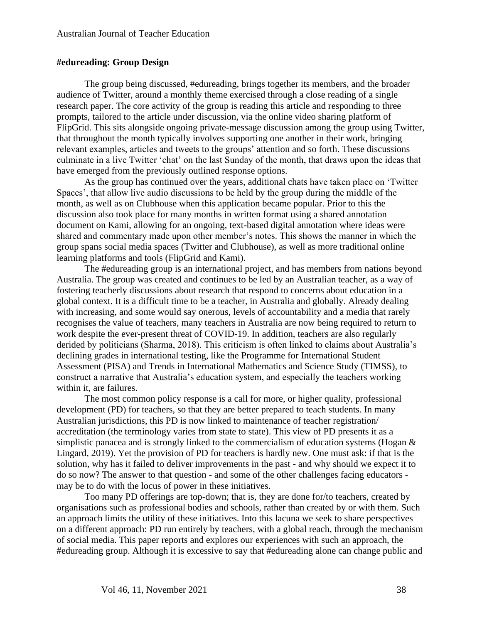#### **#edureading: Group Design**

The group being discussed, #edureading, brings together its members, and the broader audience of Twitter, around a monthly theme exercised through a close reading of a single research paper. The core activity of the group is reading this article and responding to three prompts, tailored to the article under discussion, via the online video sharing platform of FlipGrid. This sits alongside ongoing private-message discussion among the group using Twitter, that throughout the month typically involves supporting one another in their work, bringing relevant examples, articles and tweets to the groups' attention and so forth. These discussions culminate in a live Twitter 'chat' on the last Sunday of the month, that draws upon the ideas that have emerged from the previously outlined response options.

As the group has continued over the years, additional chats have taken place on 'Twitter Spaces', that allow live audio discussions to be held by the group during the middle of the month, as well as on Clubhouse when this application became popular. Prior to this the discussion also took place for many months in written format using a shared annotation document on Kami, allowing for an ongoing, text-based digital annotation where ideas were shared and commentary made upon other member's notes. This shows the manner in which the group spans social media spaces (Twitter and Clubhouse), as well as more traditional online learning platforms and tools (FlipGrid and Kami).

The #edureading group is an international project, and has members from nations beyond Australia. The group was created and continues to be led by an Australian teacher, as a way of fostering teacherly discussions about research that respond to concerns about education in a global context. It is a difficult time to be a teacher, in Australia and globally. Already dealing with increasing, and some would say onerous, levels of accountability and a media that rarely recognises the value of teachers, many teachers in Australia are now being required to return to work despite the ever-present threat of COVID-19. In addition, teachers are also regularly derided by politicians (Sharma, 2018). This criticism is often linked to claims about Australia's declining grades in international testing, like the Programme for International Student Assessment (PISA) and Trends in International Mathematics and Science Study (TIMSS), to construct a narrative that Australia's education system, and especially the teachers working within it, are failures.

The most common policy response is a call for more, or higher quality, professional development (PD) for teachers, so that they are better prepared to teach students. In many Australian jurisdictions, this PD is now linked to maintenance of teacher registration/ accreditation (the terminology varies from state to state). This view of PD presents it as a simplistic panacea and is strongly linked to the commercialism of education systems (Hogan & Lingard, 2019). Yet the provision of PD for teachers is hardly new. One must ask: if that is the solution, why has it failed to deliver improvements in the past - and why should we expect it to do so now? The answer to that question - and some of the other challenges facing educators may be to do with the locus of power in these initiatives.

Too many PD offerings are top-down; that is, they are done for/to teachers, created by organisations such as professional bodies and schools, rather than created by or with them. Such an approach limits the utility of these initiatives. Into this lacuna we seek to share perspectives on a different approach: PD run entirely by teachers, with a global reach, through the mechanism of social media. This paper reports and explores our experiences with such an approach, the #edureading group. Although it is excessive to say that #edureading alone can change public and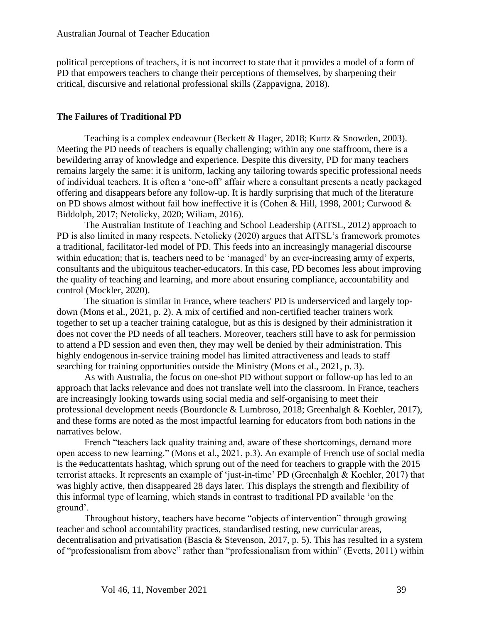political perceptions of teachers, it is not incorrect to state that it provides a model of a form of PD that empowers teachers to change their perceptions of themselves, by sharpening their critical, discursive and relational professional skills (Zappavigna, 2018).

# **The Failures of Traditional PD**

Teaching is a complex endeavour (Beckett & Hager, 2018; Kurtz & Snowden, 2003). Meeting the PD needs of teachers is equally challenging; within any one staffroom, there is a bewildering array of knowledge and experience. Despite this diversity, PD for many teachers remains largely the same: it is uniform, lacking any tailoring towards specific professional needs of individual teachers. It is often a 'one-off' affair where a consultant presents a neatly packaged offering and disappears before any follow-up. It is hardly surprising that much of the literature on PD shows almost without fail how ineffective it is (Cohen & Hill, 1998, 2001; Curwood & Biddolph, 2017; Netolicky, 2020; Wiliam, 2016).

The Australian Institute of Teaching and School Leadership (AITSL, 2012) approach to PD is also limited in many respects. Netolicky (2020) argues that AITSL's framework promotes a traditional, facilitator-led model of PD. This feeds into an increasingly managerial discourse within education; that is, teachers need to be 'managed' by an ever-increasing army of experts, consultants and the ubiquitous teacher-educators. In this case, PD becomes less about improving the quality of teaching and learning, and more about ensuring compliance, accountability and control (Mockler, 2020).

The situation is similar in France, where teachers' PD is underserviced and largely topdown (Mons et al., 2021, p. 2). A mix of certified and non-certified teacher trainers work together to set up a teacher training catalogue, but as this is designed by their administration it does not cover the PD needs of all teachers. Moreover, teachers still have to ask for permission to attend a PD session and even then, they may well be denied by their administration. This highly endogenous in-service training model has limited attractiveness and leads to staff searching for training opportunities outside the Ministry (Mons et al., 2021, p. 3).

As with Australia, the focus on one-shot PD without support or follow-up has led to an approach that lacks relevance and does not translate well into the classroom. In France, teachers are increasingly looking towards using social media and self-organising to meet their professional development needs (Bourdoncle & Lumbroso, 2018; Greenhalgh & Koehler, 2017), and these forms are noted as the most impactful learning for educators from both nations in the narratives below.

French "teachers lack quality training and, aware of these shortcomings, demand more open access to new learning." (Mons et al., 2021, p.3). An example of French use of social media is the #educattentats hashtag, which sprung out of the need for teachers to grapple with the 2015 terrorist attacks. It represents an example of 'just-in-time' PD (Greenhalgh & Koehler, 2017) that was highly active, then disappeared 28 days later. This displays the strength and flexibility of this informal type of learning, which stands in contrast to traditional PD available 'on the ground'.

Throughout history, teachers have become "objects of intervention" through growing teacher and school accountability practices, standardised testing, new curricular areas, decentralisation and privatisation (Bascia & Stevenson, 2017, p. 5). This has resulted in a system of "professionalism from above" rather than "professionalism from within" (Evetts, 2011) within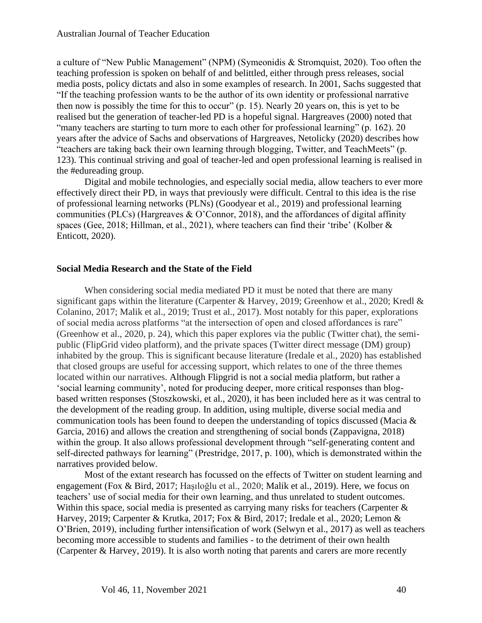a culture of "New Public Management" (NPM) (Symeonidis & Stromquist, 2020). Too often the teaching profession is spoken on behalf of and belittled, either through press releases, social media posts, policy dictats and also in some examples of research. In 2001, Sachs suggested that "If the teaching profession wants to be the author of its own identity or professional narrative then now is possibly the time for this to occur" (p. 15). Nearly 20 years on, this is yet to be realised but the generation of teacher-led PD is a hopeful signal. Hargreaves (2000) noted that "many teachers are starting to turn more to each other for professional learning" (p. 162). 20 years after the advice of Sachs and observations of Hargreaves, Netolicky (2020) describes how "teachers are taking back their own learning through blogging, Twitter, and TeachMeets" (p. 123). This continual striving and goal of teacher-led and open professional learning is realised in the #edureading group.

Digital and mobile technologies, and especially social media, allow teachers to ever more effectively direct their PD, in ways that previously were difficult. Central to this idea is the rise of professional learning networks (PLNs) (Goodyear et al., 2019) and professional learning communities (PLCs) (Hargreaves & O'Connor, 2018), and the affordances of digital affinity spaces (Gee, 2018; Hillman, et al., 2021), where teachers can find their 'tribe' (Kolber & Enticott, 2020).

## **Social Media Research and the State of the Field**

When considering social media mediated PD it must be noted that there are many significant gaps within the literature (Carpenter & Harvey, 2019; Greenhow et al., 2020; Kredl & Colanino, 2017; Malik et al., 2019; Trust et al., 2017). Most notably for this paper, explorations of social media across platforms "at the intersection of open and closed affordances is rare" (Greenhow et al., 2020, p. 24), which this paper explores via the public (Twitter chat), the semipublic (FlipGrid video platform), and the private spaces (Twitter direct message (DM) group) inhabited by the group. This is significant because literature (Iredale et al., 2020) has established that closed groups are useful for accessing support, which relates to one of the three themes located within our narratives. Although Flipgrid is not a social media platform, but rather a 'social learning community', noted for producing deeper, more critical responses than blogbased written responses (Stoszkowski, et al., 2020), it has been included here as it was central to the development of the reading group. In addition, using multiple, diverse social media and communication tools has been found to deepen the understanding of topics discussed (Macia & Garcia, 2016) and allows the creation and strengthening of social bonds (Zappavigna, 2018) within the group. It also allows professional development through "self-generating content and self-directed pathways for learning" (Prestridge, 2017, p. 100), which is demonstrated within the narratives provided below.

Most of the extant research has focussed on the effects of Twitter on student learning and engagement (Fox & Bird, 2017; Haşıloğlu et al., 2020; Malik et al., 2019). Here, we focus on teachers' use of social media for their own learning, and thus unrelated to student outcomes. Within this space, social media is presented as carrying many risks for teachers (Carpenter & Harvey, 2019; Carpenter & Krutka, 2017; Fox & Bird, 2017; Iredale et al., 2020; Lemon & O'Brien, 2019), including further intensification of work (Selwyn et al., 2017) as well as teachers becoming more accessible to students and families - to the detriment of their own health (Carpenter & Harvey, 2019). It is also worth noting that parents and carers are more recently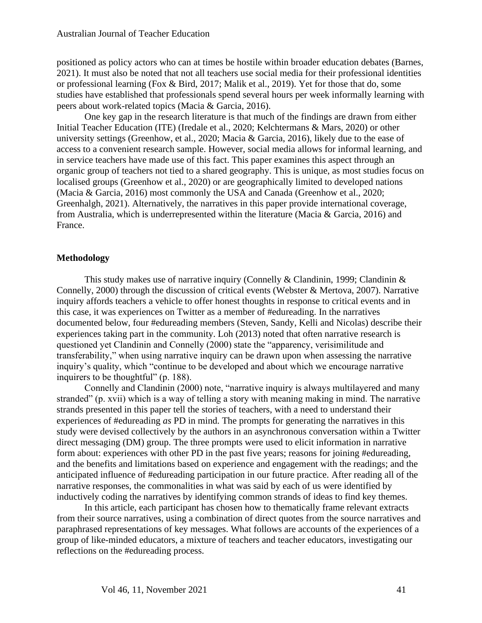positioned as policy actors who can at times be hostile within broader education debates (Barnes, 2021). It must also be noted that not all teachers use social media for their professional identities or professional learning (Fox & Bird, 2017; Malik et al., 2019). Yet for those that do, some studies have established that professionals spend several hours per week informally learning with peers about work-related topics (Macia & Garcia, 2016).

One key gap in the research literature is that much of the findings are drawn from either Initial Teacher Education (ITE) (Iredale et al., 2020; Kelchtermans & Mars, 2020) or other university settings (Greenhow, et al., 2020; Macia & Garcia, 2016), likely due to the ease of access to a convenient research sample. However, social media allows for informal learning, and in service teachers have made use of this fact. This paper examines this aspect through an organic group of teachers not tied to a shared geography. This is unique, as most studies focus on localised groups (Greenhow et al., 2020) or are geographically limited to developed nations (Macia & Garcia, 2016) most commonly the USA and Canada (Greenhow et al., 2020; Greenhalgh, 2021). Alternatively, the narratives in this paper provide international coverage, from Australia, which is underrepresented within the literature (Macia & Garcia, 2016) and France.

#### **Methodology**

This study makes use of narrative inquiry (Connelly & Clandinin, 1999; Clandinin & Connelly, 2000) through the discussion of critical events (Webster & Mertova, 2007). Narrative inquiry affords teachers a vehicle to offer honest thoughts in response to critical events and in this case, it was experiences on Twitter as a member of #edureading. In the narratives documented below, four #edureading members (Steven, Sandy, Kelli and Nicolas) describe their experiences taking part in the community. Loh (2013) noted that often narrative research is questioned yet Clandinin and Connelly (2000) state the "apparency, verisimilitude and transferability," when using narrative inquiry can be drawn upon when assessing the narrative inquiry's quality, which "continue to be developed and about which we encourage narrative inquirers to be thoughtful" (p. 188).

Connelly and Clandinin (2000) note, "narrative inquiry is always multilayered and many stranded" (p. xvii) which is a way of telling a story with meaning making in mind. The narrative strands presented in this paper tell the stories of teachers, with a need to understand their experiences of #edureading *as* PD in mind. The prompts for generating the narratives in this study were devised collectively by the authors in an asynchronous conversation within a Twitter direct messaging (DM) group. The three prompts were used to elicit information in narrative form about: experiences with other PD in the past five years; reasons for joining #edureading, and the benefits and limitations based on experience and engagement with the readings; and the anticipated influence of #edureading participation in our future practice. After reading all of the narrative responses, the commonalities in what was said by each of us were identified by inductively coding the narratives by identifying common strands of ideas to find key themes.

In this article, each participant has chosen how to thematically frame relevant extracts from their source narratives, using a combination of direct quotes from the source narratives and paraphrased representations of key messages. What follows are accounts of the experiences of a group of like-minded educators, a mixture of teachers and teacher educators, investigating our reflections on the #edureading process.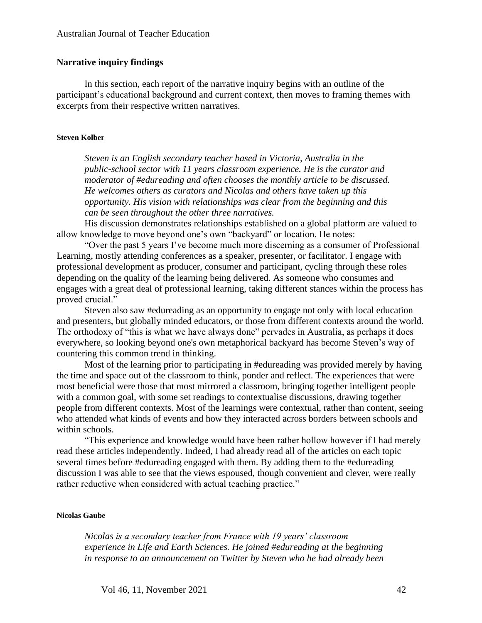# **Narrative inquiry findings**

In this section, each report of the narrative inquiry begins with an outline of the participant's educational background and current context, then moves to framing themes with excerpts from their respective written narratives.

#### **Steven Kolber**

*Steven is an English secondary teacher based in Victoria, Australia in the public-school sector with 11 years classroom experience. He is the curator and moderator of #edureading and often chooses the monthly article to be discussed. He welcomes others as curators and Nicolas and others have taken up this opportunity. His vision with relationships was clear from the beginning and this can be seen throughout the other three narratives.*

His discussion demonstrates relationships established on a global platform are valued to allow knowledge to move beyond one's own "backyard" or location. He notes:

"Over the past 5 years I've become much more discerning as a consumer of Professional Learning, mostly attending conferences as a speaker, presenter, or facilitator. I engage with professional development as producer, consumer and participant, cycling through these roles depending on the quality of the learning being delivered. As someone who consumes and engages with a great deal of professional learning, taking different stances within the process has proved crucial."

Steven also saw #edureading as an opportunity to engage not only with local education and presenters, but globally minded educators, or those from different contexts around the world. The orthodoxy of "this is what we have always done" pervades in Australia, as perhaps it does everywhere, so looking beyond one's own metaphorical backyard has become Steven's way of countering this common trend in thinking.

Most of the learning prior to participating in #edureading was provided merely by having the time and space out of the classroom to think, ponder and reflect. The experiences that were most beneficial were those that most mirrored a classroom, bringing together intelligent people with a common goal, with some set readings to contextualise discussions, drawing together people from different contexts. Most of the learnings were contextual, rather than content, seeing who attended what kinds of events and how they interacted across borders between schools and within schools.

"This experience and knowledge would have been rather hollow however if I had merely read these articles independently. Indeed, I had already read all of the articles on each topic several times before #edureading engaged with them. By adding them to the #edureading discussion I was able to see that the views espoused, though convenient and clever, were really rather reductive when considered with actual teaching practice."

#### **Nicolas Gaube**

*Nicolas is a secondary teacher from France with 19 years' classroom experience in Life and Earth Sciences. He joined #edureading at the beginning in response to an announcement on Twitter by Steven who he had already been*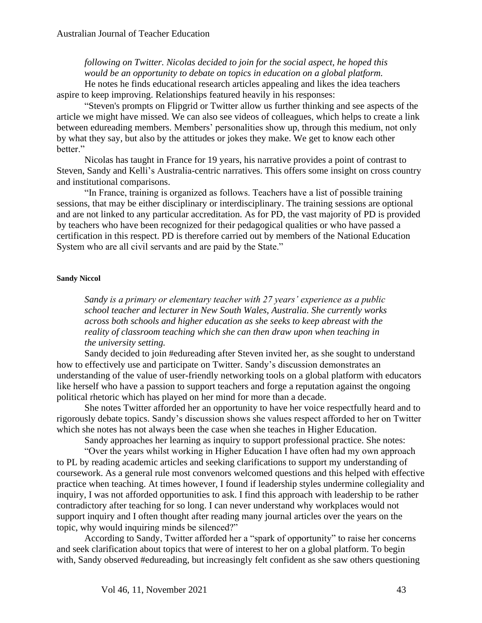*following on Twitter. Nicolas decided to join for the social aspect, he hoped this would be an opportunity to debate on topics in education on a global platform.*

He notes he finds educational research articles appealing and likes the idea teachers aspire to keep improving. Relationships featured heavily in his responses:

"Steven's prompts on Flipgrid or Twitter allow us further thinking and see aspects of the article we might have missed. We can also see videos of colleagues, which helps to create a link between edureading members. Members' personalities show up, through this medium, not only by what they say, but also by the attitudes or jokes they make. We get to know each other better."

Nicolas has taught in France for 19 years, his narrative provides a point of contrast to Steven, Sandy and Kelli's Australia-centric narratives. This offers some insight on cross country and institutional comparisons.

"In France, training is organized as follows. Teachers have a list of possible training sessions, that may be either disciplinary or interdisciplinary. The training sessions are optional and are not linked to any particular accreditation. As for PD, the vast majority of PD is provided by teachers who have been recognized for their pedagogical qualities or who have passed a certification in this respect. PD is therefore carried out by members of the National Education System who are all civil servants and are paid by the State."

#### **Sandy Niccol**

*Sandy is a primary or elementary teacher with 27 years' experience as a public school teacher and lecturer in New South Wales, Australia. She currently works across both schools and higher education as she seeks to keep abreast with the reality of classroom teaching which she can then draw upon when teaching in the university setting.*

Sandy decided to join #edureading after Steven invited her, as she sought to understand how to effectively use and participate on Twitter. Sandy's discussion demonstrates an understanding of the value of user-friendly networking tools on a global platform with educators like herself who have a passion to support teachers and forge a reputation against the ongoing political rhetoric which has played on her mind for more than a decade.

She notes Twitter afforded her an opportunity to have her voice respectfully heard and to rigorously debate topics. Sandy's discussion shows she values respect afforded to her on Twitter which she notes has not always been the case when she teaches in Higher Education.

Sandy approaches her learning as inquiry to support professional practice. She notes:

"Over the years whilst working in Higher Education I have often had my own approach to PL by reading academic articles and seeking clarifications to support my understanding of coursework. As a general rule most convenors welcomed questions and this helped with effective practice when teaching. At times however, I found if leadership styles undermine collegiality and inquiry, I was not afforded opportunities to ask. I find this approach with leadership to be rather contradictory after teaching for so long. I can never understand why workplaces would not support inquiry and I often thought after reading many journal articles over the years on the topic, why would inquiring minds be silenced?"

According to Sandy, Twitter afforded her a "spark of opportunity" to raise her concerns and seek clarification about topics that were of interest to her on a global platform. To begin with, Sandy observed #edureading, but increasingly felt confident as she saw others questioning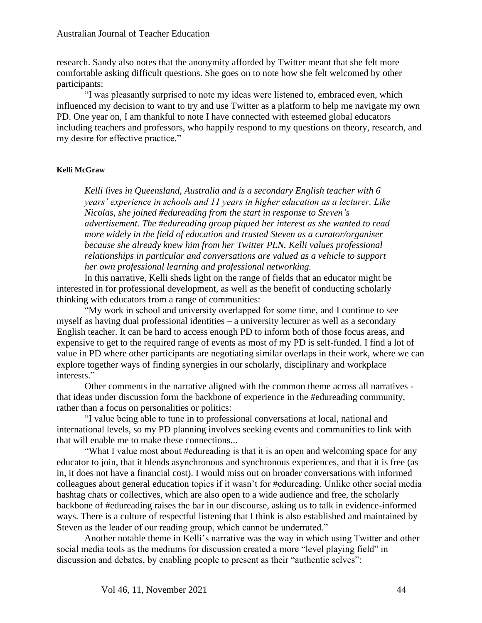research. Sandy also notes that the anonymity afforded by Twitter meant that she felt more comfortable asking difficult questions. She goes on to note how she felt welcomed by other participants:

"I was pleasantly surprised to note my ideas were listened to, embraced even, which influenced my decision to want to try and use Twitter as a platform to help me navigate my own PD. One year on, I am thankful to note I have connected with esteemed global educators including teachers and professors, who happily respond to my questions on theory, research, and my desire for effective practice."

## **Kelli McGraw**

*Kelli lives in Queensland, Australia and is a secondary English teacher with 6 years' experience in schools and 11 years in higher education as a lecturer. Like Nicolas, she joined #edureading from the start in response to Steven's advertisement. The #edureading group piqued her interest as she wanted to read more widely in the field of education and trusted Steven as a curator/organiser because she already knew him from her Twitter PLN. Kelli values professional relationships in particular and conversations are valued as a vehicle to support her own professional learning and professional networking.*

In this narrative, Kelli sheds light on the range of fields that an educator might be interested in for professional development, as well as the benefit of conducting scholarly thinking with educators from a range of communities:

"My work in school and university overlapped for some time, and I continue to see myself as having dual professional identities – a university lecturer as well as a secondary English teacher. It can be hard to access enough PD to inform both of those focus areas, and expensive to get to the required range of events as most of my PD is self-funded. I find a lot of value in PD where other participants are negotiating similar overlaps in their work, where we can explore together ways of finding synergies in our scholarly, disciplinary and workplace interests."

Other comments in the narrative aligned with the common theme across all narratives that ideas under discussion form the backbone of experience in the #edureading community, rather than a focus on personalities or politics:

"I value being able to tune in to professional conversations at local, national and international levels, so my PD planning involves seeking events and communities to link with that will enable me to make these connections...

"What I value most about #edureading is that it is an open and welcoming space for any educator to join, that it blends asynchronous and synchronous experiences, and that it is free (as in, it does not have a financial cost). I would miss out on broader conversations with informed colleagues about general education topics if it wasn't for #edureading. Unlike other social media hashtag chats or collectives, which are also open to a wide audience and free, the scholarly backbone of #edureading raises the bar in our discourse, asking us to talk in evidence-informed ways. There is a culture of respectful listening that I think is also established and maintained by Steven as the leader of our reading group, which cannot be underrated."

Another notable theme in Kelli's narrative was the way in which using Twitter and other social media tools as the mediums for discussion created a more "level playing field" in discussion and debates, by enabling people to present as their "authentic selves":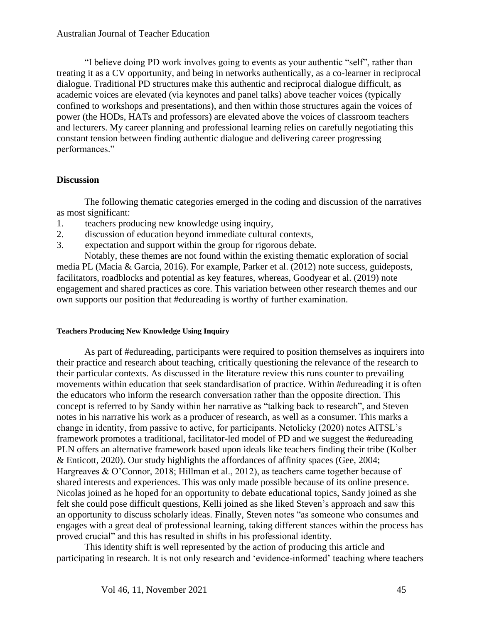"I believe doing PD work involves going to events as your authentic "self", rather than treating it as a CV opportunity, and being in networks authentically, as a co-learner in reciprocal dialogue. Traditional PD structures make this authentic and reciprocal dialogue difficult, as academic voices are elevated (via keynotes and panel talks) above teacher voices (typically confined to workshops and presentations), and then within those structures again the voices of power (the HODs, HATs and professors) are elevated above the voices of classroom teachers and lecturers. My career planning and professional learning relies on carefully negotiating this constant tension between finding authentic dialogue and delivering career progressing performances."

# **Discussion**

The following thematic categories emerged in the coding and discussion of the narratives as most significant:

- 1. teachers producing new knowledge using inquiry,
- 2. discussion of education beyond immediate cultural contexts,
- 3. expectation and support within the group for rigorous debate.

Notably, these themes are not found within the existing thematic exploration of social media PL (Macia & Garcia, 2016). For example, Parker et al. (2012) note success, guideposts, facilitators, roadblocks and potential as key features, whereas, Goodyear et al. (2019) note engagement and shared practices as core. This variation between other research themes and our own supports our position that #edureading is worthy of further examination.

# **Teachers Producing New Knowledge Using Inquiry**

As part of #edureading, participants were required to position themselves as inquirers into their practice and research about teaching, critically questioning the relevance of the research to their particular contexts. As discussed in the literature review this runs counter to prevailing movements within education that seek standardisation of practice. Within #edureading it is often the educators who inform the research conversation rather than the opposite direction. This concept is referred to by Sandy within her narrative as "talking back to research", and Steven notes in his narrative his work as a producer of research, as well as a consumer. This marks a change in identity, from passive to active, for participants. Netolicky (2020) notes AITSL's framework promotes a traditional, facilitator-led model of PD and we suggest the #edureading PLN offers an alternative framework based upon ideals like teachers finding their tribe (Kolber & Enticott, 2020). Our study highlights the affordances of affinity spaces (Gee, 2004; Hargreaves & O'Connor, 2018; Hillman et al., 2012), as teachers came together because of shared interests and experiences. This was only made possible because of its online presence. Nicolas joined as he hoped for an opportunity to debate educational topics, Sandy joined as she felt she could pose difficult questions, Kelli joined as she liked Steven's approach and saw this an opportunity to discuss scholarly ideas. Finally, Steven notes "as someone who consumes and engages with a great deal of professional learning, taking different stances within the process has proved crucial" and this has resulted in shifts in his professional identity.

This identity shift is well represented by the action of producing this article and participating in research. It is not only research and 'evidence-informed' teaching where teachers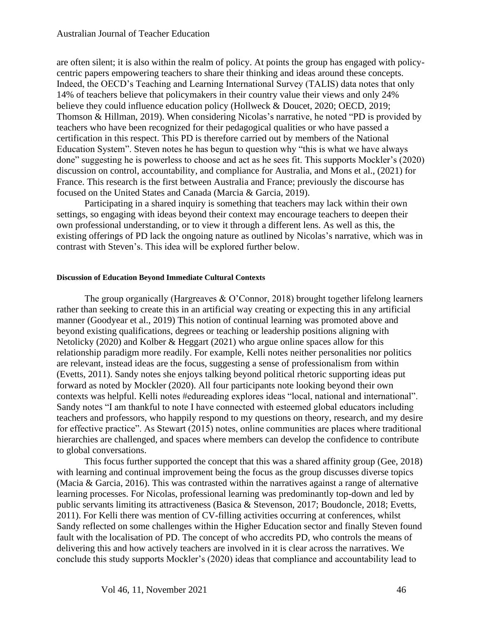are often silent; it is also within the realm of policy. At points the group has engaged with policycentric papers empowering teachers to share their thinking and ideas around these concepts. Indeed, the OECD's Teaching and Learning International Survey (TALIS) data notes that only 14% of teachers believe that policymakers in their country value their views and only 24% believe they could influence education policy (Hollweck & Doucet, 2020; OECD, 2019; Thomson & Hillman, 2019). When considering Nicolas's narrative, he noted "PD is provided by teachers who have been recognized for their pedagogical qualities or who have passed a certification in this respect. This PD is therefore carried out by members of the National Education System". Steven notes he has begun to question why "this is what we have always done" suggesting he is powerless to choose and act as he sees fit. This supports Mockler's (2020) discussion on control, accountability, and compliance for Australia, and Mons et al., (2021) for France. This research is the first between Australia and France; previously the discourse has focused on the United States and Canada (Marcia & Garcia, 2019).

Participating in a shared inquiry is something that teachers may lack within their own settings, so engaging with ideas beyond their context may encourage teachers to deepen their own professional understanding, or to view it through a different lens. As well as this, the existing offerings of PD lack the ongoing nature as outlined by Nicolas's narrative, which was in contrast with Steven's. This idea will be explored further below.

#### **Discussion of Education Beyond Immediate Cultural Contexts**

The group organically (Hargreaves & O'Connor, 2018) brought together lifelong learners rather than seeking to create this in an artificial way creating or expecting this in any artificial manner (Goodyear et al., 2019) This notion of continual learning was promoted above and beyond existing qualifications, degrees or teaching or leadership positions aligning with Netolicky (2020) and Kolber & Heggart (2021) who argue online spaces allow for this relationship paradigm more readily. For example, Kelli notes neither personalities nor politics are relevant, instead ideas are the focus, suggesting a sense of professionalism from within (Evetts, 2011). Sandy notes she enjoys talking beyond political rhetoric supporting ideas put forward as noted by Mockler (2020). All four participants note looking beyond their own contexts was helpful. Kelli notes #edureading explores ideas "local, national and international". Sandy notes "I am thankful to note I have connected with esteemed global educators including teachers and professors, who happily respond to my questions on theory, research, and my desire for effective practice". As Stewart (2015) notes, online communities are places where traditional hierarchies are challenged, and spaces where members can develop the confidence to contribute to global conversations.

This focus further supported the concept that this was a shared affinity group (Gee, 2018) with learning and continual improvement being the focus as the group discusses diverse topics (Macia & Garcia, 2016). This was contrasted within the narratives against a range of alternative learning processes. For Nicolas, professional learning was predominantly top-down and led by public servants limiting its attractiveness (Basica & Stevenson, 2017; Boudoncle, 2018; Evetts, 2011). For Kelli there was mention of CV-filling activities occurring at conferences, whilst Sandy reflected on some challenges within the Higher Education sector and finally Steven found fault with the localisation of PD. The concept of who accredits PD, who controls the means of delivering this and how actively teachers are involved in it is clear across the narratives. We conclude this study supports Mockler's (2020) ideas that compliance and accountability lead to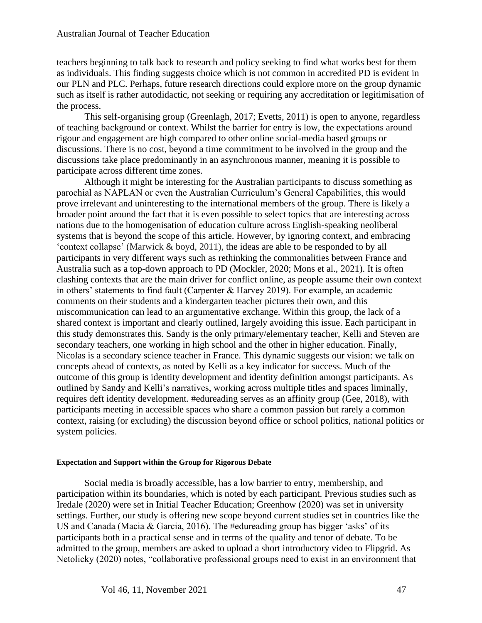teachers beginning to talk back to research and policy seeking to find what works best for them as individuals. This finding suggests choice which is not common in accredited PD is evident in our PLN and PLC. Perhaps, future research directions could explore more on the group dynamic such as itself is rather autodidactic, not seeking or requiring any accreditation or legitimisation of the process.

This self-organising group (Greenlagh, 2017; Evetts, 2011) is open to anyone, regardless of teaching background or context. Whilst the barrier for entry is low, the expectations around rigour and engagement are high compared to other online social-media based groups or discussions. There is no cost, beyond a time commitment to be involved in the group and the discussions take place predominantly in an asynchronous manner, meaning it is possible to participate across different time zones.

Although it might be interesting for the Australian participants to discuss something as parochial as NAPLAN or even the Australian Curriculum's General Capabilities, this would prove irrelevant and uninteresting to the international members of the group. There is likely a broader point around the fact that it is even possible to select topics that are interesting across nations due to the homogenisation of education culture across English-speaking neoliberal systems that is beyond the scope of this article. However, by ignoring context, and embracing 'context collapse' (Marwick & boyd, 2011), the ideas are able to be responded to by all participants in very different ways such as rethinking the commonalities between France and Australia such as a top-down approach to PD (Mockler, 2020; Mons et al., 2021). It is often clashing contexts that are the main driver for conflict online, as people assume their own context in others' statements to find fault (Carpenter & Harvey 2019). For example, an academic comments on their students and a kindergarten teacher pictures their own, and this miscommunication can lead to an argumentative exchange. Within this group, the lack of a shared context is important and clearly outlined, largely avoiding this issue. Each participant in this study demonstrates this. Sandy is the only primary/elementary teacher, Kelli and Steven are secondary teachers, one working in high school and the other in higher education. Finally, Nicolas is a secondary science teacher in France. This dynamic suggests our vision: we talk on concepts ahead of contexts, as noted by Kelli as a key indicator for success. Much of the outcome of this group is identity development and identity definition amongst participants. As outlined by Sandy and Kelli's narratives, working across multiple titles and spaces liminally, requires deft identity development. #edureading serves as an affinity group (Gee, 2018), with participants meeting in accessible spaces who share a common passion but rarely a common context, raising (or excluding) the discussion beyond office or school politics, national politics or system policies.

#### **Expectation and Support within the Group for Rigorous Debate**

Social media is broadly accessible, has a low barrier to entry, membership, and participation within its boundaries, which is noted by each participant. Previous studies such as Iredale (2020) were set in Initial Teacher Education; Greenhow (2020) was set in university settings. Further, our study is offering new scope beyond current studies set in countries like the US and Canada (Macia & Garcia, 2016). The #edureading group has bigger 'asks' of its participants both in a practical sense and in terms of the quality and tenor of debate. To be admitted to the group, members are asked to upload a short introductory video to Flipgrid. As Netolicky (2020) notes, "collaborative professional groups need to exist in an environment that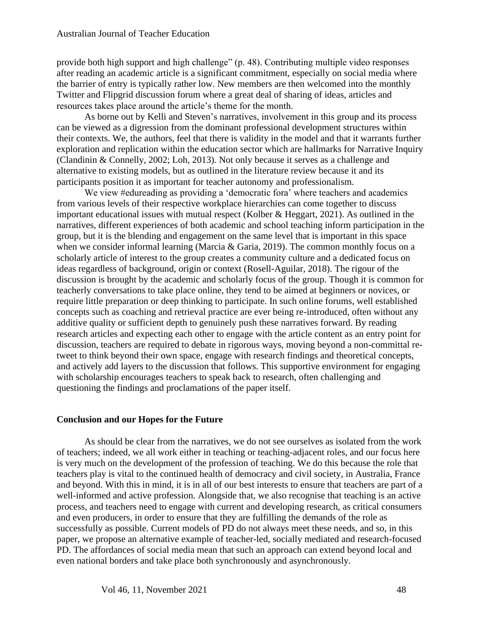provide both high support and high challenge" (p. 48). Contributing multiple video responses after reading an academic article is a significant commitment, especially on social media where the barrier of entry is typically rather low. New members are then welcomed into the monthly Twitter and Flipgrid discussion forum where a great deal of sharing of ideas, articles and resources takes place around the article's theme for the month.

As borne out by Kelli and Steven's narratives, involvement in this group and its process can be viewed as a digression from the dominant professional development structures within their contexts. We, the authors, feel that there is validity in the model and that it warrants further exploration and replication within the education sector which are hallmarks for Narrative Inquiry (Clandinin & Connelly, 2002; Loh, 2013). Not only because it serves as a challenge and alternative to existing models, but as outlined in the literature review because it and its participants position it as important for teacher autonomy and professionalism.

We view #edureading as providing a 'democratic fora' where teachers and academics from various levels of their respective workplace hierarchies can come together to discuss important educational issues with mutual respect (Kolber & Heggart, 2021). As outlined in the narratives, different experiences of both academic and school teaching inform participation in the group, but it is the blending and engagement on the same level that is important in this space when we consider informal learning (Marcia & Garia, 2019). The common monthly focus on a scholarly article of interest to the group creates a community culture and a dedicated focus on ideas regardless of background, origin or context (Rosell-Aguilar, 2018). The rigour of the discussion is brought by the academic and scholarly focus of the group. Though it is common for teacherly conversations to take place online, they tend to be aimed at beginners or novices, or require little preparation or deep thinking to participate. In such online forums, well established concepts such as coaching and retrieval practice are ever being re-introduced, often without any additive quality or sufficient depth to genuinely push these narratives forward. By reading research articles and expecting each other to engage with the article content as an entry point for discussion, teachers are required to debate in rigorous ways, moving beyond a non-committal retweet to think beyond their own space, engage with research findings and theoretical concepts, and actively add layers to the discussion that follows. This supportive environment for engaging with scholarship encourages teachers to speak back to research, often challenging and questioning the findings and proclamations of the paper itself.

# **Conclusion and our Hopes for the Future**

As should be clear from the narratives, we do not see ourselves as isolated from the work of teachers; indeed, we all work either in teaching or teaching-adjacent roles, and our focus here is very much on the development of the profession of teaching. We do this because the role that teachers play is vital to the continued health of democracy and civil society, in Australia, France and beyond. With this in mind, it is in all of our best interests to ensure that teachers are part of a well-informed and active profession. Alongside that, we also recognise that teaching is an active process, and teachers need to engage with current and developing research, as critical consumers and even producers, in order to ensure that they are fulfilling the demands of the role as successfully as possible. Current models of PD do not always meet these needs, and so, in this paper, we propose an alternative example of teacher-led, socially mediated and research-focused PD. The affordances of social media mean that such an approach can extend beyond local and even national borders and take place both synchronously and asynchronously.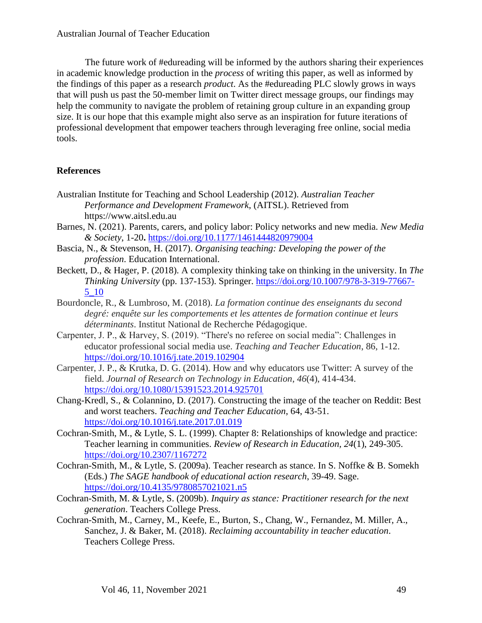The future work of #edureading will be informed by the authors sharing their experiences in academic knowledge production in the *process* of writing this paper, as well as informed by the findings of this paper as a research *product*. As the #edureading PLC slowly grows in ways that will push us past the 50-member limit on Twitter direct message groups, our findings may help the community to navigate the problem of retaining group culture in an expanding group size. It is our hope that this example might also serve as an inspiration for future iterations of professional development that empower teachers through leveraging free online, social media tools.

# **References**

- Australian Institute for Teaching and School Leadership (2012). *Australian Teacher Performance and Development Framework*, (AITSL). Retrieved from https://www.aitsl.edu.au
- Barnes, N. (2021). Parents, carers, and policy labor: Policy networks and new media. *New Media & Society*, 1-20**.** <https://doi.org/10.1177/1461444820979004>
- Bascia, N., & Stevenson, H. (2017). *Organising teaching: Developing the power of the profession*. Education International.
- Beckett, D., & Hager, P. (2018). A complexity thinking take on thinking in the university. In *The Thinking University* (pp. 137-153). Springer. [https://doi.org/10.1007/978-3-319-77667-](https://doi.org/10.1007/978-3-319-77667-5_10) [5\\_10](https://doi.org/10.1007/978-3-319-77667-5_10)
- Bourdoncle, R., & Lumbroso, M. (2018). *La formation continue des enseignants du second degré: enquête sur les comportements et les attentes de formation continue et leurs déterminants*. Institut National de Recherche Pédagogique.
- Carpenter, J. P., & Harvey, S. (2019). "There's no referee on social media": Challenges in educator professional social media use. *Teaching and Teacher Education*, 86, 1-12. <https://doi.org/10.1016/j.tate.2019.102904>
- Carpenter, J. P., & Krutka, D. G. (2014). How and why educators use Twitter: A survey of the field. *Journal of Research on Technology in Education*, *46*(4), 414-434. <https://doi.org/10.1080/15391523.2014.925701>
- Chang-Kredl, S., & Colannino, D. (2017). Constructing the image of the teacher on Reddit: Best and worst teachers. *Teaching and Teacher Education*, 64, 43-51. <https://doi.org/10.1016/j.tate.2017.01.019>
- Cochran-Smith, M., & Lytle, S. L. (1999). Chapter 8: Relationships of knowledge and practice: Teacher learning in communities. *Review of Research in Education, 24*(1), 249-305. <https://doi.org/10.2307/1167272>
- Cochran-Smith, M., & Lytle, S. (2009a). Teacher research as stance. In S. Noffke & B. Somekh (Eds.) *The SAGE handbook of educational action research*, 39-49. Sage. <https://doi.org/10.4135/9780857021021.n5>
- Cochran-Smith, M. & Lytle, S. (2009b). *Inquiry as stance: Practitioner research for the next generation*. Teachers College Press.
- Cochran-Smith, M., Carney, M., Keefe, E., Burton, S., Chang, W., Fernandez, M. Miller, A., Sanchez, J. & Baker, M. (2018). *Reclaiming accountability in teacher education*. Teachers College Press.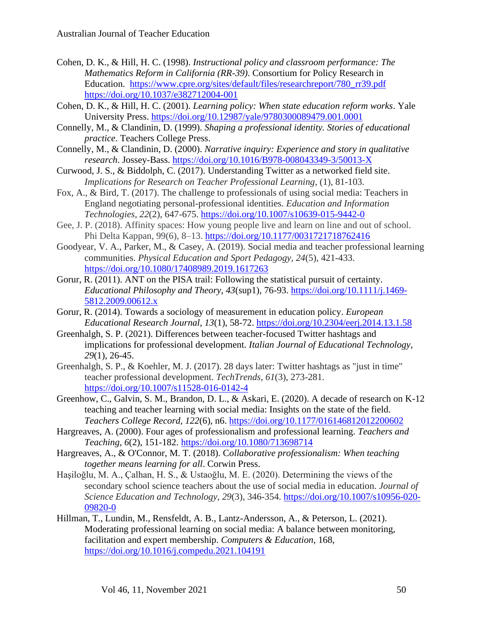- Cohen, D. K., & Hill, H. C. (1998). *Instructional policy and classroom performance: The Mathematics Reform in California (RR-39)*. Consortium for Policy Research in Education. [https://www.cpre.org/sites/default/files/researchreport/780\\_rr39.pdf](https://www.cpre.org/sites/default/files/researchreport/780_rr39.pdf) <https://doi.org/10.1037/e382712004-001>
- Cohen, D. K., & Hill, H. C. (2001). *Learning policy: When state education reform works*. Yale University Press. <https://doi.org/10.12987/yale/9780300089479.001.0001>
- Connelly, M., & Clandinin, D. (1999). *Shaping a professional identity. Stories of educational practice*. Teachers College Press.
- Connelly, M., & Clandinin, D. (2000). *Narrative inquiry: Experience and story in qualitative research*. Jossey-Bass. <https://doi.org/10.1016/B978-008043349-3/50013-X>
- Curwood, J. S., & Biddolph, C. (2017). Understanding Twitter as a networked field site. *Implications for Research on Teacher Professional Learning*, (1), 81-103.
- Fox, A., & Bird, T. (2017). The challenge to professionals of using social media: Teachers in England negotiating personal-professional identities. *Education and Information Technologies*, *22*(2), 647-675. <https://doi.org/10.1007/s10639-015-9442-0>
- Gee, J. P. (2018). Affinity spaces: How young people live and learn on line and out of school. Phi Delta Kappan, 99(6), 8–13.<https://doi.org/10.1177/0031721718762416>
- Goodyear, V. A., Parker, M., & Casey, A. (2019). Social media and teacher professional learning communities. *Physical Education and Sport Pedagogy, 24*(5), 421-433. <https://doi.org/10.1080/17408989.2019.1617263>
- Gorur, R. (2011). ANT on the PISA trail: Following the statistical pursuit of certainty. *Educational Philosophy and Theory, 43*(sup1), 76-93. [https://doi.org/10.1111/j.1469-](https://doi.org/10.1111/j.1469-5812.2009.00612.x) [5812.2009.00612.x](https://doi.org/10.1111/j.1469-5812.2009.00612.x)
- Gorur, R. (2014). Towards a sociology of measurement in education policy. *European Educational Research Journal, 13*(1), 58-72. <https://doi.org/10.2304/eerj.2014.13.1.58>
- Greenhalgh, S. P. (2021). Differences between teacher-focused Twitter hashtags and implications for professional development. *Italian Journal of Educational Technology, 29*(1), 26-45.
- Greenhalgh, S. P., & Koehler, M. J. (2017). 28 days later: Twitter hashtags as "just in time" teacher professional development. *TechTrends*, *61*(3), 273-281. <https://doi.org/10.1007/s11528-016-0142-4>
- Greenhow, C., Galvin, S. M., Brandon, D. L., & Askari, E. (2020). A decade of research on K-12 teaching and teacher learning with social media: Insights on the state of the field. *Teachers College Record, 122*(6), n6. <https://doi.org/10.1177/016146812012200602>
- Hargreaves, A. (2000). Four ages of professionalism and professional learning. *Teachers and Teaching, 6*(2), 151-182. <https://doi.org/10.1080/713698714>
- Hargreaves, A., & O'Connor, M. T. (2018). C*ollaborative professionalism: When teaching together means learning for all*. Corwin Press.
- Haşiloğlu, M. A., Çalhan, H. S., & Ustaoğlu, M. E. (2020). Determining the views of the secondary school science teachers about the use of social media in education. *Journal of Science Education and Technology, 29*(3), 346-354. [https://doi.org/10.1007/s10956-020-](https://doi.org/10.1007/s10956-020-09820-0) [09820-0](https://doi.org/10.1007/s10956-020-09820-0)
- Hillman, T., Lundin, M., Rensfeldt, A. B., Lantz-Andersson, A., & Peterson, L. (2021). Moderating professional learning on social media: A balance between monitoring, facilitation and expert membership. *Computers & Education*, 168, <https://doi.org/10.1016/j.compedu.2021.104191>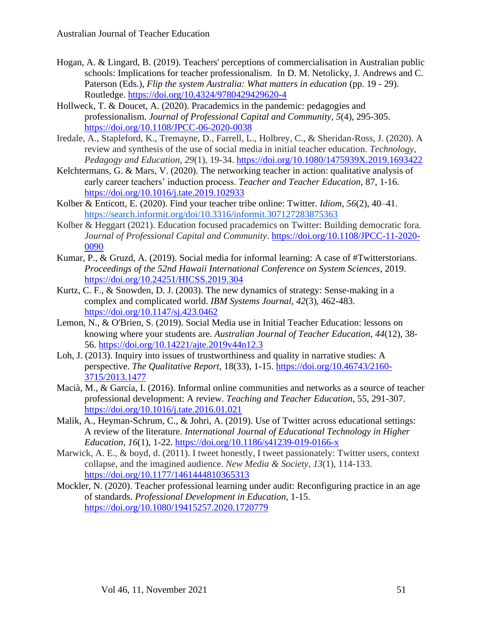- Hogan, A. & Lingard, B. (2019). Teachers' perceptions of commercialisation in Australian public schools: Implications for teacher professionalism. In D. M. Netolicky, J. Andrews and C. Paterson (Eds.), *Flip the system Australia: What matters in education* (pp. 19 - 29). Routledge.<https://doi.org/10.4324/9780429429620-4>
- Hollweck, T. & Doucet, A. (2020). Pracademics in the pandemic: pedagogies and professionalism. *Journal of Professional Capital and Community, 5*(4), 295-305. <https://doi.org/10.1108/JPCC-06-2020-0038>
- Iredale, A., Stapleford, K., Tremayne, D., Farrell, L., Holbrey, C., & Sheridan-Ross, J. (2020). A review and synthesis of the use of social media in initial teacher education. *Technology, Pedagogy and Education, 29*(1), 19-34. <https://doi.org/10.1080/1475939X.2019.1693422>
- Kelchtermans, G. & Mars, V. (2020). The networking teacher in action: qualitative analysis of early career teachers' induction process. *Teacher and Teacher Education*, 87, 1-16. <https://doi.org/10.1016/j.tate.2019.102933>
- Kolber & Enticott, E. (2020). Find your teacher tribe online: Twitter. *Idiom, 56*(2), 40–41. <https://search.informit.org/doi/10.3316/informit.307127283875363>
- Kolber & Heggart (2021). Education focused pracademics on Twitter: Building democratic fora. *Journal of Professional Capital and Community*. [https://doi.org/10.1108/JPCC-11-2020-](https://doi.org/10.1108/JPCC-11-2020-0090) [0090](https://doi.org/10.1108/JPCC-11-2020-0090)
- Kumar, P., & Gruzd, A. (2019). Social media for informal learning: A case of #Twitterstorians. *Proceedings of the 52nd Hawaii International Conference on System Sciences*, 2019. <https://doi.org/10.24251/HICSS.2019.304>
- Kurtz, C. F., & Snowden, D. J. (2003). The new dynamics of strategy: Sense-making in a complex and complicated world. *IBM Systems Journal, 42*(3), 462-483. <https://doi.org/10.1147/sj.423.0462>
- Lemon, N., & O'Brien, S. (2019). Social Media use in Initial Teacher Education: lessons on knowing where your students are. *Australian Journal of Teacher Education, 44*(12), 38- 56.<https://doi.org/10.14221/ajte.2019v44n12.3>
- Loh, J. (2013). Inquiry into issues of trustworthiness and quality in narrative studies: A perspective. *The Qualitative Report*, 18(33), 1-15. [https://doi.org/10.46743/2160-](https://doi.org/10.46743/2160-3715/2013.1477) [3715/2013.1477](https://doi.org/10.46743/2160-3715/2013.1477)
- Macià, M., & García, I. (2016). Informal online communities and networks as a source of teacher professional development: A review. *Teaching and Teacher Education*, 55, 291-307. <https://doi.org/10.1016/j.tate.2016.01.021>
- Malik, A., Heyman-Schrum, C., & Johri, A. (2019). Use of Twitter across educational settings: A review of the literature. *International Journal of Educational Technology in Higher Education, 16*(1), 1-22.<https://doi.org/10.1186/s41239-019-0166-x>
- Marwick, A. E., & boyd, d. (2011). I tweet honestly, I tweet passionately: Twitter users, context collapse, and the imagined audience. *New Media & Society*, *13*(1), 114-133. <https://doi.org/10.1177/1461444810365313>
- Mockler, N. (2020). Teacher professional learning under audit: Reconfiguring practice in an age of standards. *Professional Development in Education*, 1-15. <https://doi.org/10.1080/19415257.2020.1720779>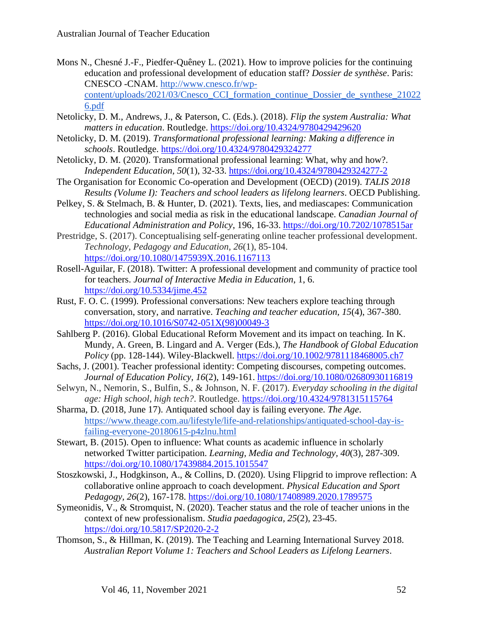- Mons N., Chesné J.-F., Piedfer-Quêney L. (2021). How to improve policies for the continuing education and professional development of education staff? *Dossier de synthèse*. Paris: CNESCO -CNAM. [http://www.cnesco.fr/wp](http://www.cnesco.fr/wp-content/uploads/2021/03/Cnesco_CCI_formation_continue_Dossier_de_synthese_210226.pdf)[content/uploads/2021/03/Cnesco\\_CCI\\_formation\\_continue\\_Dossier\\_de\\_synthese\\_21022](http://www.cnesco.fr/wp-content/uploads/2021/03/Cnesco_CCI_formation_continue_Dossier_de_synthese_210226.pdf) [6.pdf](http://www.cnesco.fr/wp-content/uploads/2021/03/Cnesco_CCI_formation_continue_Dossier_de_synthese_210226.pdf)
- Netolicky, D. M., Andrews, J., & Paterson, C. (Eds.). (2018). *Flip the system Australia: What matters in education*. Routledge. <https://doi.org/10.4324/9780429429620>
- Netolicky, D. M. (2019). *Transformational professional learning: Making a difference in schools*. Routledge. <https://doi.org/10.4324/9780429324277>
- Netolicky, D. M. (2020). Transformational professional learning: What, why and how?. *Independent Education, 50*(1), 32-33. <https://doi.org/10.4324/9780429324277-2>
- The Organisation for Economic Co-operation and Development (OECD) (2019). *TALIS 2018 Results (Volume I): Teachers and school leaders as lifelong learners*. OECD Publishing.
- Pelkey, S. & Stelmach, B. & Hunter, D. (2021). Texts, lies, and mediascapes: Communication technologies and social media as risk in the educational landscape. *Canadian Journal of Educational Administration and Policy*, 196, 16-33.<https://doi.org/10.7202/1078515ar>
- Prestridge, S. (2017). Conceptualising self-generating online teacher professional development. *Technology, Pedagogy and Education, 26*(1), 85-104. <https://doi.org/10.1080/1475939X.2016.1167113>
- Rosell-Aguilar, F. (2018). Twitter: A professional development and community of practice tool for teachers. *Journal of Interactive Media in Education*, 1, 6. <https://doi.org/10.5334/jime.452>
- Rust, F. O. C. (1999). Professional conversations: New teachers explore teaching through conversation, story, and narrative. *Teaching and teacher education, 15*(4), 367-380. [https://doi.org/10.1016/S0742-051X\(98\)00049-3](https://doi.org/10.1016/S0742-051X(98)00049-3)
- Sahlberg P. (2016). Global Educational Reform Movement and its impact on teaching. In K. Mundy, A. Green, B. Lingard and A. Verger (Eds.), *The Handbook of Global Education Policy* (pp. 128-144). Wiley-Blackwell. <https://doi.org/10.1002/9781118468005.ch7>
- Sachs, J. (2001). Teacher professional identity: Competing discourses, competing outcomes. *Journal of Education Policy, 16*(2), 149-161. <https://doi.org/10.1080/02680930116819>
- Selwyn, N., Nemorin, S., Bulfin, S., & Johnson, N. F. (2017). *Everyday schooling in the digital age: High school, high tech?*. Routledge. <https://doi.org/10.4324/9781315115764>
- Sharma, D. (2018, June 17). Antiquated school day is failing everyone. *The Age*[.](https://www.theage.com.au/lifestyle/life-and-relationships/antiquated-school-day-is-failing-everyone-20180615-p4zlnu.html) [https://www.theage.com.au/lifestyle/life-and-relationships/antiquated-school-day-is](https://www.theage.com.au/lifestyle/life-and-relationships/antiquated-school-day-is-failing-everyone-20180615-p4zlnu.html)[failing-everyone-20180615-p4zlnu.html](https://www.theage.com.au/lifestyle/life-and-relationships/antiquated-school-day-is-failing-everyone-20180615-p4zlnu.html)
- Stewart, B. (2015). Open to influence: What counts as academic influence in scholarly networked Twitter participation. *Learning, Media and Technology, 40*(3), 287-309. <https://doi.org/10.1080/17439884.2015.1015547>
- Stoszkowski, J., Hodgkinson, A., & Collins, D. (2020). Using Flipgrid to improve reflection: A collaborative online approach to coach development. *Physical Education and Sport Pedagogy, 26*(2), 167-178. <https://doi.org/10.1080/17408989.2020.1789575>
- Symeonidis, V., & Stromquist, N. (2020). Teacher status and the role of teacher unions in the context of new professionalism. *Studia paedagogica, 25*(2), 23-45. <https://doi.org/10.5817/SP2020-2-2>
- Thomson, S., & Hillman, K. (2019). The Teaching and Learning International Survey 2018. *Australian Report Volume 1: Teachers and School Leaders as Lifelong Learners*.